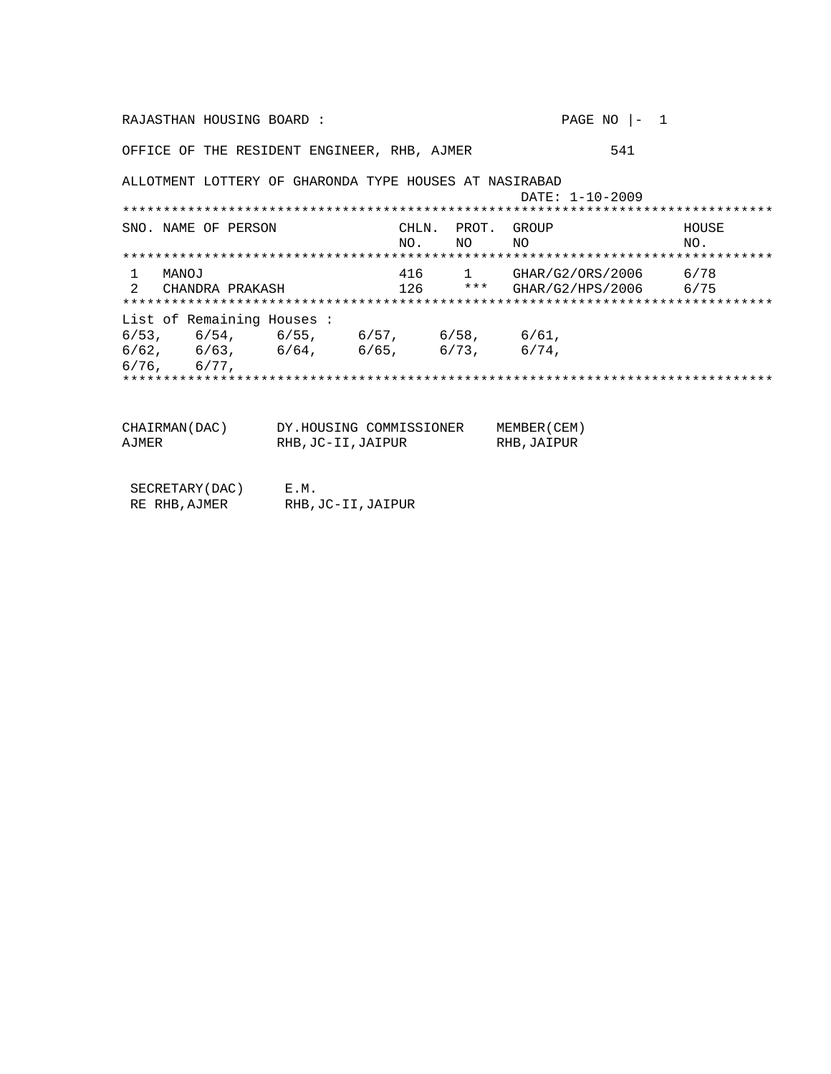PAGE NO  $|-1$ RAJASTHAN HOUSING BOARD: OFFICE OF THE RESIDENT ENGINEER, RHB, AJMER 541 ALLOTMENT LOTTERY OF GHARONDA TYPE HOUSES AT NASIRABAD DATE: 1-10-2009 CHLN. PROT. GROUP SNO. NAME OF PERSON HOUSE NO. NO<sub>1</sub> NO<sub>1</sub> NO. 1 MANOJ 1 MANOJ 2 CHAROJ 416 1 GHAR/G2/ORS/2006 6/78 List of Remaining Houses :  $6/53$ ,  $6/54$ ,  $6/55$ ,  $6/57$ ,  $6/58$ ,  $6/61$ ,<br> $6/62$ ,  $6/63$ ,  $6/64$ ,  $6/65$ ,  $6/73$ ,  $6/74$ ,  $6/77$ ,  $6/76$  , CHAIRMAN(DAC) DY.HOUSING COMMISSIONER MEMBER(CEM) RHB, JC-II, JAIPUR RHB, JAIPUR AJMER  $\begin{tabular}{ll} \multicolumn{2}{l}{{\small\texttt{SECRETARY(DAC)}}} & \multicolumn{2}{c}{E.M.} \\ \multicolumn{2}{l}{RE RHB, AJMER} & \multicolumn{2}{l}{RHB, JC-II, JAIPUR} \end{tabular}$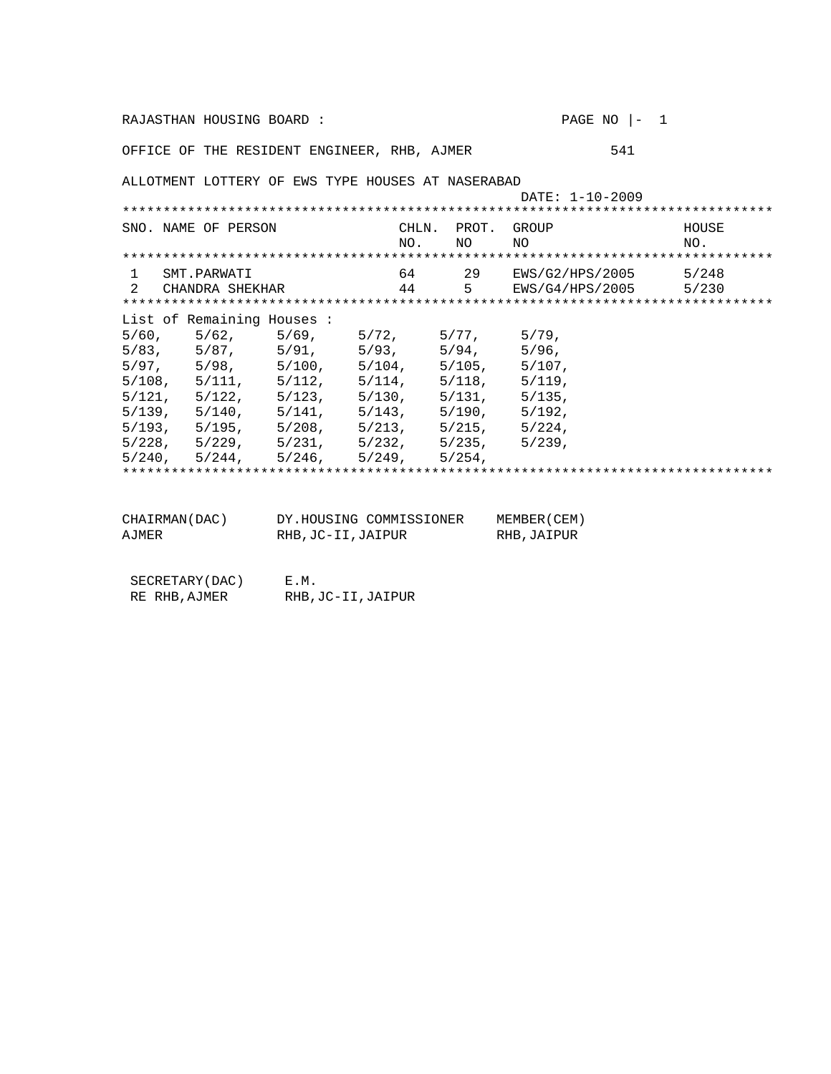|                                                   | RAJASTHAN HOUSING BOARD:  |                                                             |                          |             | PAGE NO $ -1$               |                          |
|---------------------------------------------------|---------------------------|-------------------------------------------------------------|--------------------------|-------------|-----------------------------|--------------------------|
|                                                   |                           | OFFICE OF THE RESIDENT ENGINEER, RHB, AJMER                 |                          |             | 541                         |                          |
|                                                   |                           | ALLOTMENT LOTTERY OF EWS TYPE HOUSES AT NASERABAD           |                          |             | DATE: 1-10-2009             |                          |
|                                                   |                           |                                                             |                          |             |                             |                          |
|                                                   | SNO. NAME OF PERSON       |                                                             | CHLN.<br>NO <sub>1</sub> | NO.         | PROT. GROUP<br>NO.          | HOUSE<br>NO <sub>1</sub> |
|                                                   |                           |                                                             |                          |             |                             |                          |
| $\mathbf{1}$                                      | SMT.PARWATI               |                                                             |                          |             | 64 29 EWS/G2/HPS/2005 5/248 |                          |
| $2^{1}$                                           | CHANDRA SHEKHAR           |                                                             |                          |             | 44 5 EWS/G4/HPS/2005 5/230  |                          |
|                                                   |                           |                                                             |                          |             |                             |                          |
|                                                   | List of Remaining Houses: |                                                             |                          |             |                             |                          |
|                                                   |                           | $5/60$ , $5/62$ , $5/69$ , $5/72$ , $5/77$ , $5/79$ ,       |                          |             |                             |                          |
|                                                   |                           | 5/83, 5/87, 5/91, 5/93, 5/94, 5/96,                         |                          |             |                             |                          |
|                                                   |                           | $5/97, 5/98, 5/100, 5/104, 5/105, 5/107,$                   |                          |             |                             |                          |
|                                                   |                           | $5/108$ , $5/111$ , $5/112$ , $5/114$ , $5/118$ , $5/119$ , |                          |             |                             |                          |
|                                                   |                           | $5/121$ , $5/122$ , $5/123$ , $5/130$ , $5/131$ , $5/135$ , |                          |             |                             |                          |
|                                                   |                           | $5/139$ , $5/140$ , $5/141$ , $5/143$ , $5/190$ , $5/192$ , |                          |             |                             |                          |
|                                                   |                           | $5/193$ , $5/195$ , $5/208$ , $5/213$ , $5/215$ , $5/224$ , |                          |             |                             |                          |
|                                                   |                           | $5/228$ , $5/229$ , $5/231$ , $5/232$ , $5/235$ , $5/239$ , |                          |             |                             |                          |
|                                                   |                           | $5/240$ , $5/244$ , $5/246$ , $5/249$ , $5/254$ ,           |                          |             |                             |                          |
|                                                   |                           |                                                             |                          |             |                             |                          |
|                                                   |                           |                                                             |                          |             |                             |                          |
| CHAIRMAN(DAC) DY.HOUSING COMMISSIONER MEMBER(CEM) |                           |                                                             |                          |             |                             |                          |
| <b>AJMER</b><br>RHB, JC-II, JAIPUR                |                           |                                                             |                          | RHB, JAIPUR |                             |                          |

SECRETARY(DAC) E.M.<br>RE RHB, AJMER RHB, RHB, JC-II, JAIPUR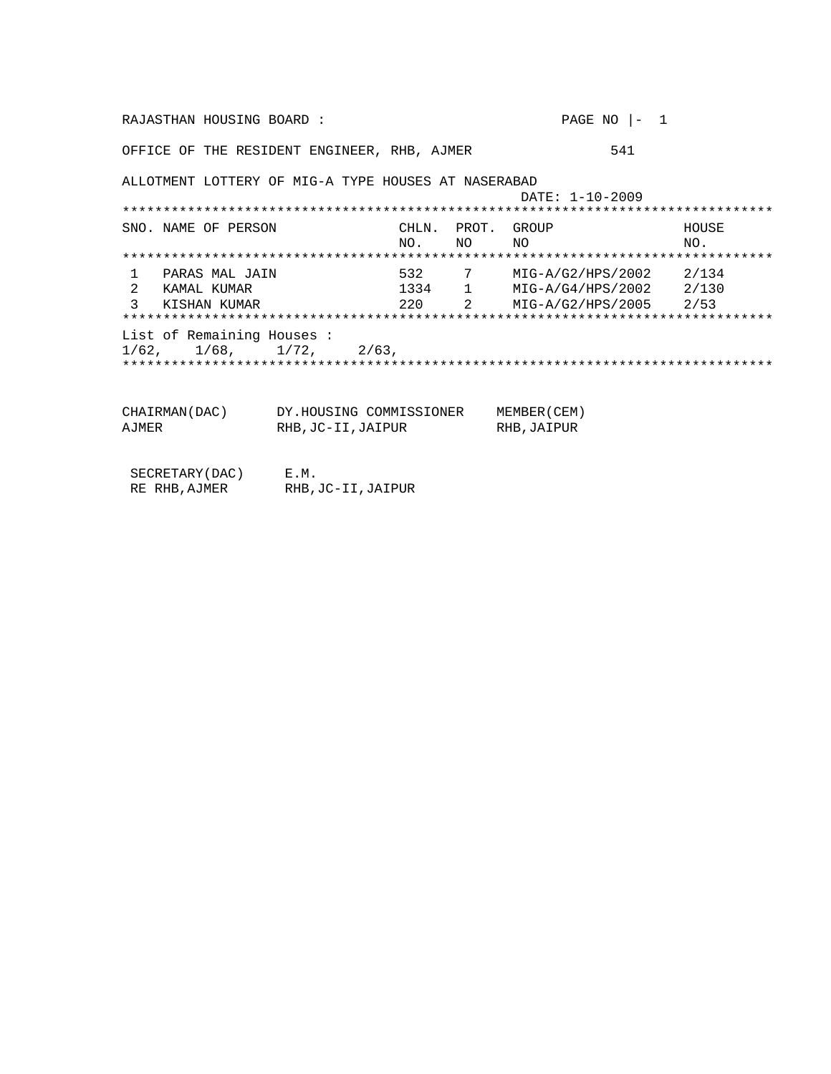| RAJASTHAN HOUSING BOARD:                            |                            |        |  | PAGE NO $ -1$                  |       |
|-----------------------------------------------------|----------------------------|--------|--|--------------------------------|-------|
| OFFICE OF THE RESIDENT ENGINEER, RHB, AJMER         |                            |        |  | 541                            |       |
| ALLOTMENT LOTTERY OF MIG-A TYPE HOUSES AT NASERABAD |                            |        |  | DATE: 1-10-2009                |       |
| SNO. NAME OF PERSON                                 |                            | CHLN.  |  | PROT. GROUP                    | HOUSE |
|                                                     |                            | NO, NO |  | NO.                            | NO.   |
|                                                     |                            |        |  |                                |       |
| PARAS MAL JAIN<br>1.                                |                            |        |  | 532 7 MIG-A/G2/HPS/2002 2/134  |       |
| 2<br>KAMAL KUMAR                                    |                            |        |  | 1334 1 MIG-A/G4/HPS/2002 2/130 |       |
| ς<br>KISHAN KUMAR                                   |                            |        |  | 220 2 MIG-A/G2/HPS/2005 2/53   |       |
|                                                     |                            |        |  |                                |       |
| List of Remaining Houses:                           |                            |        |  |                                |       |
| 1/62, 1/68, 1/72, 2/63,                             |                            |        |  |                                |       |
|                                                     |                            |        |  |                                |       |
| CHAIRMAN (DAC)                                      | DY.HOUSING COMMISSIONER    |        |  | MEMBER (CEM)                   |       |
| AJMER                                               | RHB, JC-II, JAIPUR         |        |  | RHB, JAIPUR                    |       |
| SECRETARY (DAC)<br>RE RHB, AJMER                    | E.M.<br>RHB, JC-II, JAIPUR |        |  |                                |       |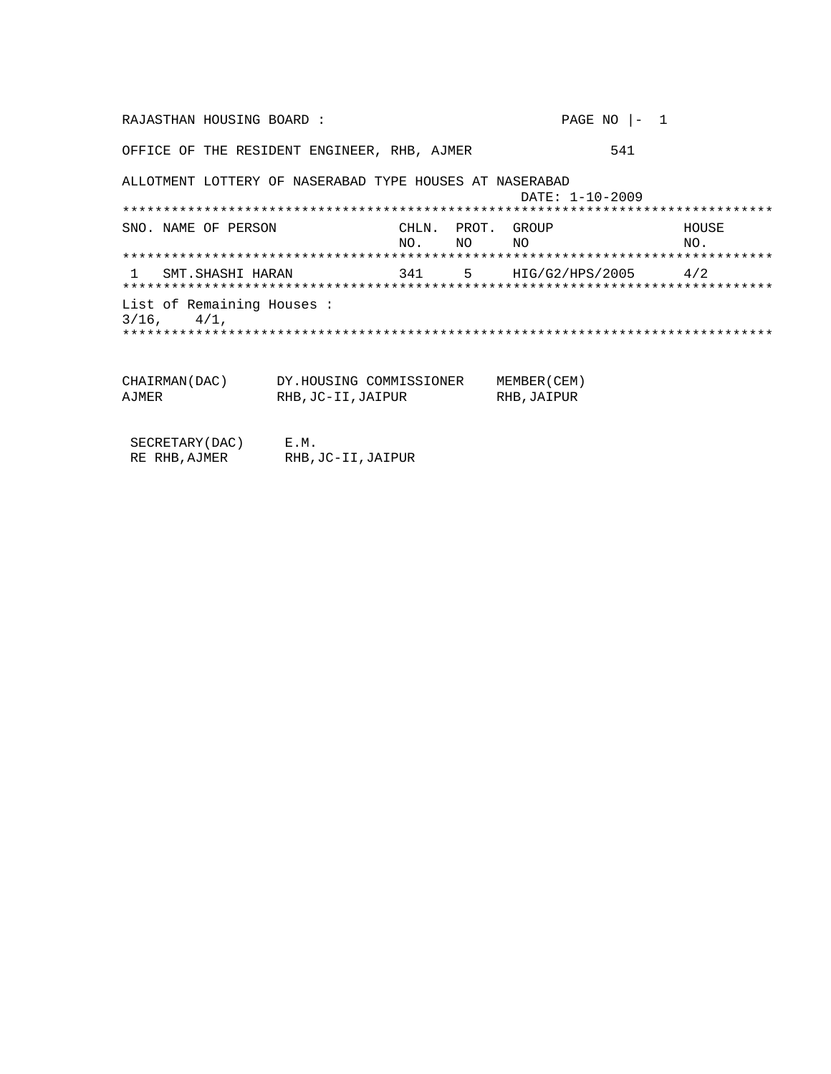RAJASTHAN HOUSING BOARD : PAGE NO |- 1 OFFICE OF THE RESIDENT ENGINEER, RHB, AJMER 541 ALLOTMENT LOTTERY OF NASERABAD TYPE HOUSES AT NASERABAD DATE: 1-10-2009 \*\*\*\*\*\*\*\*\*\*\*\*\*\*\*\*\*\*\*\*\*\*\*\*\*\*\*\*\*\*\*\*\*\*\*\*\*\*\*\*\*\*\*\*\*\*\*\*\*\*\*\*\*\*\*\*\*\*\*\*\*\*\*\*\*\*\*\*\*\*\*\*\*\*\*\*\*\*\*\* CHLN. PROT. GROUP HOUSE HOUSE NO. NO. NO NO NO. \*\*\*\*\*\*\*\*\*\*\*\*\*\*\*\*\*\*\*\*\*\*\*\*\*\*\*\*\*\*\*\*\*\*\*\*\*\*\*\*\*\*\*\*\*\*\*\*\*\*\*\*\*\*\*\*\*\*\*\*\*\*\*\*\*\*\*\*\*\*\*\*\*\*\*\*\*\*\*\* 1 SMT.SHASHI HARAN 341 5 HIG/G2/HPS/2005 4/2 \*\*\*\*\*\*\*\*\*\*\*\*\*\*\*\*\*\*\*\*\*\*\*\*\*\*\*\*\*\*\*\*\*\*\*\*\*\*\*\*\*\*\*\*\*\*\*\*\*\*\*\*\*\*\*\*\*\*\*\*\*\*\*\*\*\*\*\*\*\*\*\*\*\*\*\*\*\*\*\* List of Remaining Houses :  $3/16$ ,  $4/1$ , \*\*\*\*\*\*\*\*\*\*\*\*\*\*\*\*\*\*\*\*\*\*\*\*\*\*\*\*\*\*\*\*\*\*\*\*\*\*\*\*\*\*\*\*\*\*\*\*\*\*\*\*\*\*\*\*\*\*\*\*\*\*\*\*\*\*\*\*\*\*\*\*\*\*\*\*\*\*\*\* CHAIRMAN(DAC) DY.HOUSING COMMISSIONER MEMBER(CEM) RHB,JAIPUR

| n un ur | NHD, UCTIL, UAIPUN | LID. |
|---------|--------------------|------|
|         |                    |      |
|         |                    |      |
|         |                    |      |

| SECRETARY (DAC) | E.M.               |
|-----------------|--------------------|
| RE RHB, AJMER   | RHB, JC-II, JAIPUR |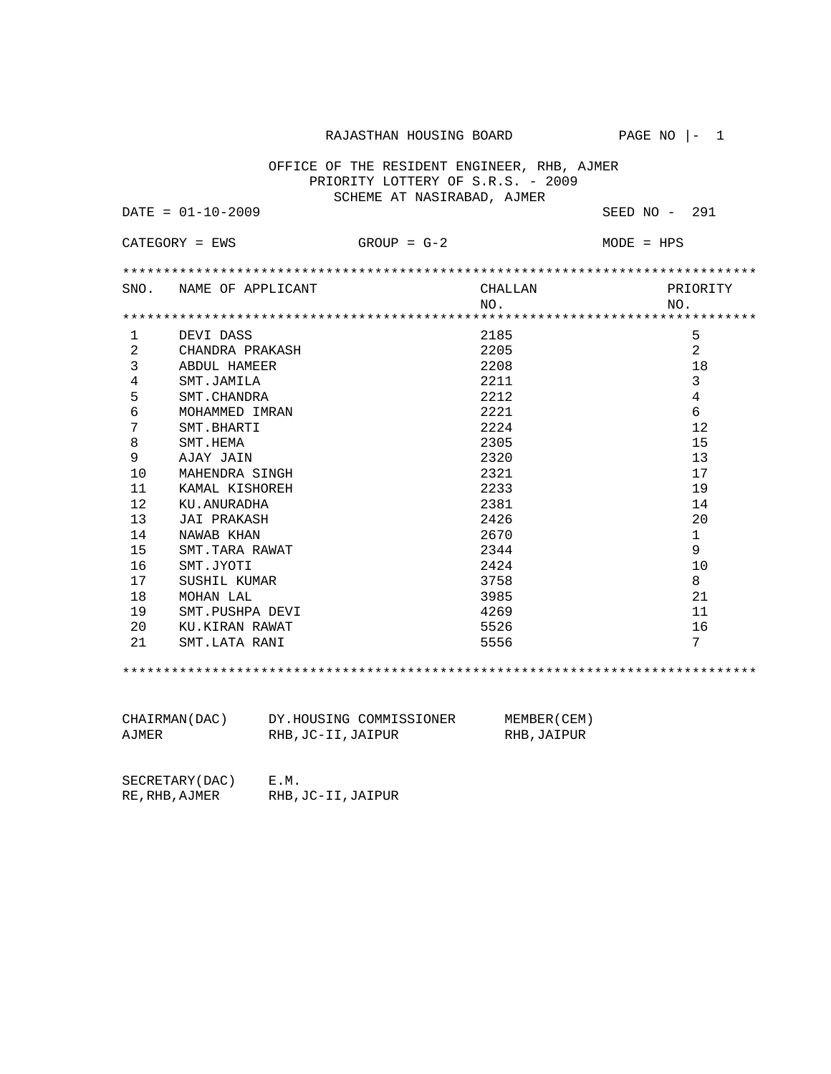RAJASTHAN HOUSING BOARD PAGE NO  $|-1$ 

 OFFICE OF THE RESIDENT ENGINEER, RHB, AJMER PRIORITY LOTTERY OF S.R.S. - 2009 SCHEME AT NASIRABAD, AJMER

DATE = 01-10-2009 SEED NO - 291

|      | $CATEGORY = EWS$  | $GROUP = G-2$ |                            | $MODE = HPS$    |
|------|-------------------|---------------|----------------------------|-----------------|
|      |                   |               |                            |                 |
| SNO. | NAME OF APPLICANT |               | CHALLAN<br>NO <sub>1</sub> | PRIORITY<br>NO. |
|      |                   |               |                            |                 |
| 1    | DEVI DASS         |               | 2185                       | 5               |
| 2    | CHANDRA PRAKASH   |               | 2205                       | 2               |
| 3    | ABDUL HAMEER      |               | 2208                       | 18              |
| 4    | SMT.JAMILA        |               | 2211                       | 3               |
| 5    | SMT. CHANDRA      |               | 2212                       | 4               |
| 6    | MOHAMMED IMRAN    |               | 2221                       | 6               |
| 7    | SMT.BHARTI        |               | 2224                       | 12              |
| 8    | SMT.HEMA          |               | 2305                       | 15              |
| 9    | AJAY JAIN         |               | 2320                       | 13              |
| 10   | MAHENDRA SINGH    |               | 2321                       | 17              |
| 11   | KAMAL KISHOREH    |               | 2233                       | 19              |
| 12   | KU, ANURADHA      |               | 2381                       | 14              |
| 13   | JAI PRAKASH       |               | 2426                       | 20              |
| 14   | NAWAB KHAN        |               | 2670                       | $\mathbf{1}$    |
| 15   | SMT.TARA RAWAT    |               | 2344                       | 9               |
| 16   | SMT.JYOTI         |               | 2.424                      | 10              |
| 17   | SUSHIL KUMAR      |               | 3758                       | 8               |
| 18   | MOHAN LAL         |               | 3985                       | 21              |
| 19   | SMT.PUSHPA DEVI   |               | 4269                       | 11              |
| 20   | KU.KIRAN RAWAT    |               | 5526                       | 16              |
| 2.1  | SMT.LATA RANI     |               | 5556                       | 7               |
|      |                   |               |                            |                 |

| CHAIRMAN(DAC) | DY.HOUSING COMMISSIONER | MEMBER (CEM) |
|---------------|-------------------------|--------------|
| AJMER         | RHB, JC-II, JAIPUR      | RHB,JAIPUR   |

SECRETARY(DAC) E.M. RE,RHB,AJMER RHB,JC-II,JAIPUR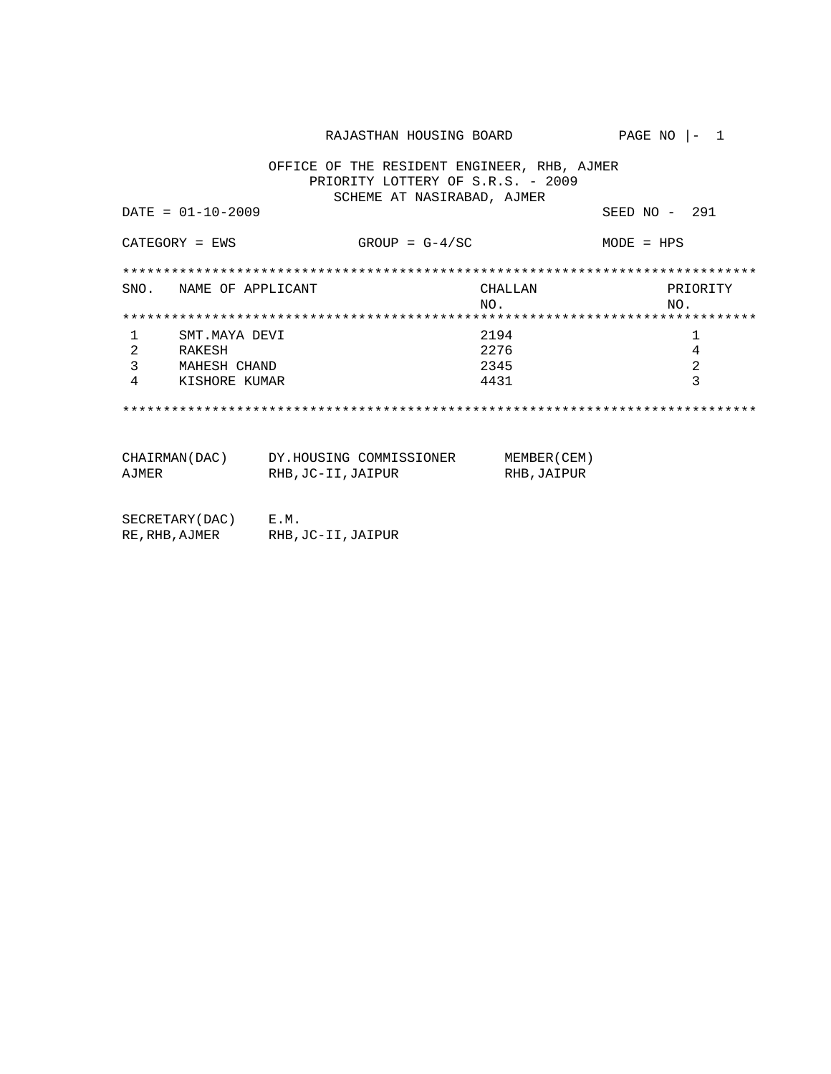RAJASTHAN HOUSING BOARD PAGE NO |- 1 OFFICE OF THE RESIDENT ENGINEER, RHB, AJMER PRIORITY LOTTERY OF S.R.S. - 2009 SCHEME AT NASIRABAD, AJMER DATE = 01-10-2009 SEED NO - 291  $CATEGORY = EWS$  GROUP =  $G-4/SC$  MODE = HPS \*\*\*\*\*\*\*\*\*\*\*\*\*\*\*\*\*\*\*\*\*\*\*\*\*\*\*\*\*\*\*\*\*\*\*\*\*\*\*\*\*\*\*\*\*\*\*\*\*\*\*\*\*\*\*\*\*\*\*\*\*\*\*\*\*\*\*\*\*\*\*\*\*\*\*\*\*\* SNO. NAME OF APPLICANT CHALLAN CHALLAN PRIORITY NO. NO. \*\*\*\*\*\*\*\*\*\*\*\*\*\*\*\*\*\*\*\*\*\*\*\*\*\*\*\*\*\*\*\*\*\*\*\*\*\*\*\*\*\*\*\*\*\*\*\*\*\*\*\*\*\*\*\*\*\*\*\*\*\*\*\*\*\*\*\*\*\*\*\*\*\*\*\*\*\* SMT.MAYA DEVI 2 RAKESH 2276<br>3 MAHESH CHAND 2345 2276 3 MAHESH CHAND 2345<br>4 KISHORE KUMAR 2431 KISHORE KUMAR \*\*\*\*\*\*\*\*\*\*\*\*\*\*\*\*\*\*\*\*\*\*\*\*\*\*\*\*\*\*\*\*\*\*\*\*\*\*\*\*\*\*\*\*\*\*\*\*\*\*\*\*\*\*\*\*\*\*\*\*\*\*\*\*\*\*\*\*\*\*\*\*\*\*\*\*\*\* CHAIRMAN(DAC) DY.HOUSING COMMISSIONER MEMBER(CEM) AJMER RHB, JC-II, JAIPUR RHB, JAIPUR SECRETARY(DAC) E.M. RE,RHB,AJMER RHB,JC-II,JAIPUR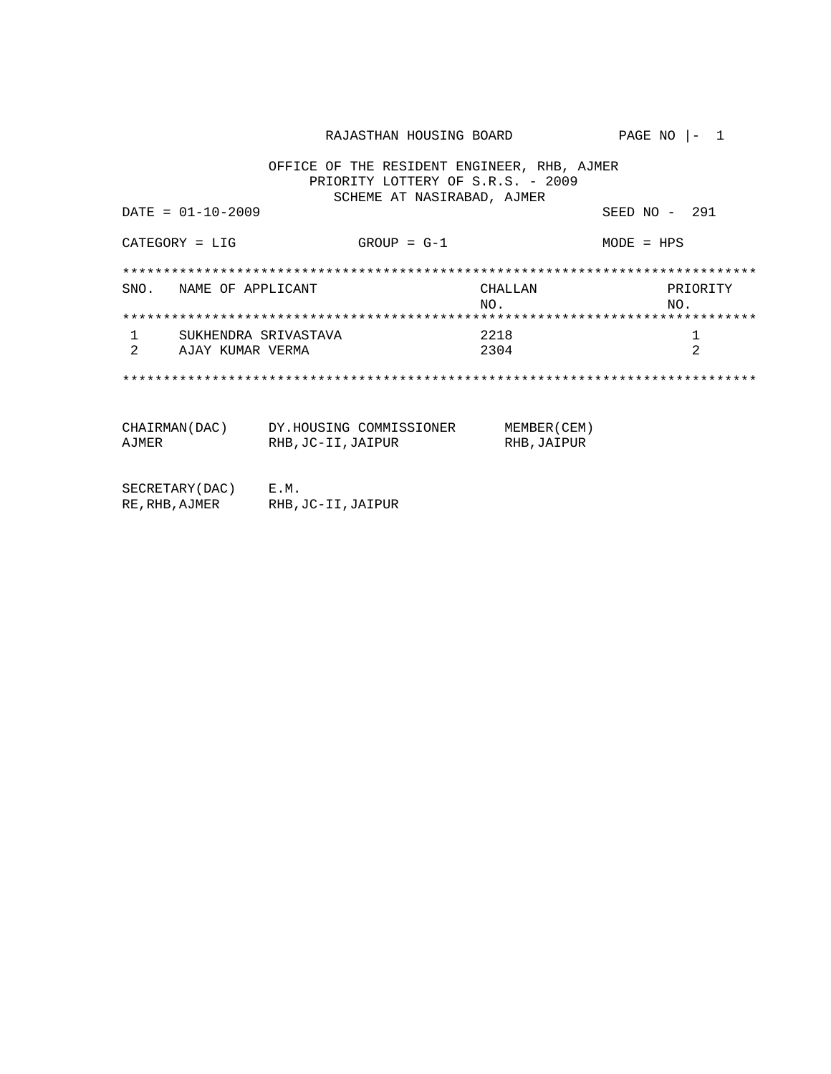RAJASTHAN HOUSING BOARD PAGE NO |- 1 OFFICE OF THE RESIDENT ENGINEER, RHB, AJMER PRIORITY LOTTERY OF S.R.S. - 2009 SCHEME AT NASIRABAD, AJMER  $DATA = 01 - 10 - 2009$ SEED  $NO - 291$ CATEGORY = LIG  $GROUP = G-1$  $MODE = HPS$ SNO. NAME OF APPLICANT **CHALLAN** PRIORITY  $NO.$ NO.  $\overline{1}$ SUKHENDRA SRIVASTAVA 2218  $\mathbf{1}$ 2 AJAY KUMAR VERMA 2304 2 CHAIRMAN(DAC) DY.HOUSING COMMISSIONER MEMBER(CEM)<br>AJMER RHB,JC-II,JAIPUR RHB,JAIPUR  $\begin{tabular}{ll} \multicolumn{2}{l}{{\small\texttt{SE}}}\texttt{CRETARY}(\texttt{DAC}) & \multicolumn{2}{l}{\small\texttt{E.M.}}\\ \multicolumn{2}{l}{\small\texttt{RE,RHB}}\texttt{,AJMER} & \multicolumn{2}{l}{\small\texttt{RHB}}\texttt{,JC-II}}\texttt{,JAIPUR} \end{tabular}$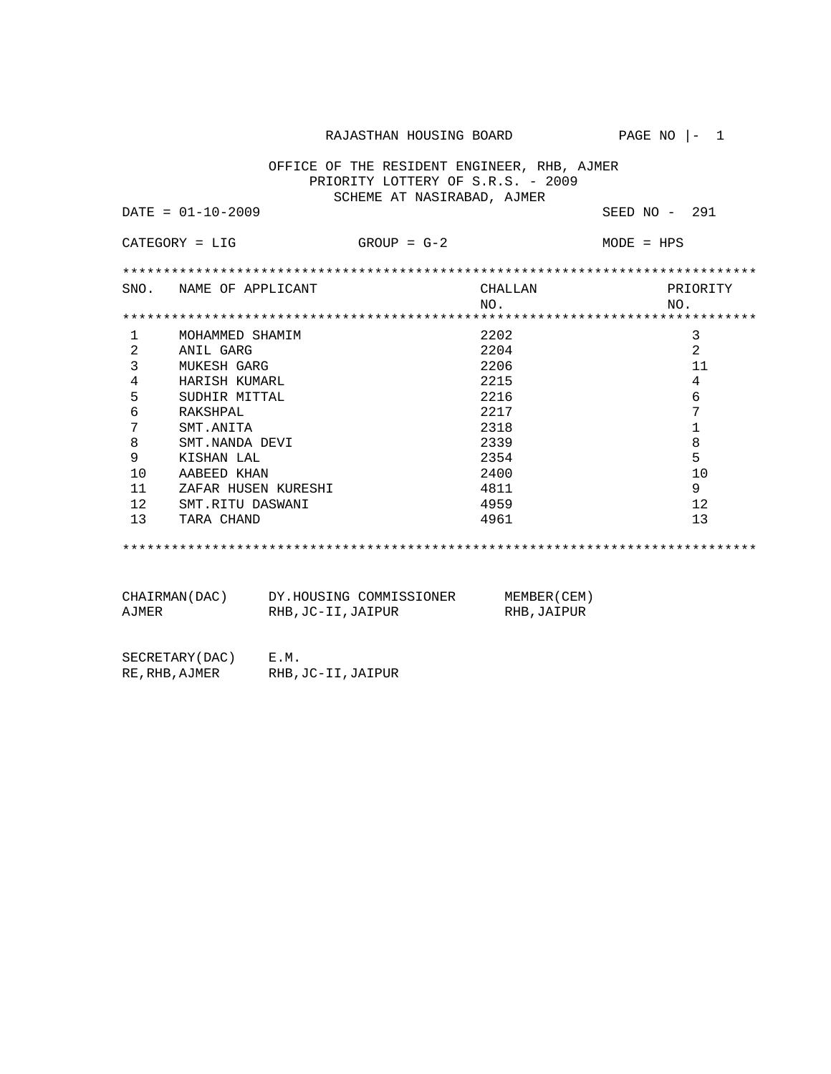RAJASTHAN HOUSING BOARD PAGE NO  $|-1$ 

 OFFICE OF THE RESIDENT ENGINEER, RHB, AJMER PRIORITY LOTTERY OF S.R.S. - 2009 SCHEME AT NASIRABAD, AJMER

DATE = 01-10-2009 SEED NO - 291

| $CATEGORY = LIG$ |                        | $GROUP = G-2$ | $MODE = HPS$ |  |
|------------------|------------------------|---------------|--------------|--|
|                  |                        |               |              |  |
|                  | SNO. NAME OF APPLICANT | CHALLAN       | PRIORITY     |  |
|                  |                        | NO.           | NO.          |  |
|                  |                        |               |              |  |
|                  | MOHAMMED SHAMIM        | 2202          | 3            |  |
| 2                | ANIL GARG              | 2204          | 2            |  |
| 3                | MUKESH GARG            | 2206          | 11           |  |
| 4                | HARISH KUMARL          | 2215          | 4            |  |
| 5                | SUDHIR MITTAL          | 2216          | 6            |  |
| 6                | RAKSHPAL               | 2217          | 7            |  |
| 7                | SMT.ANITA              | 2318          |              |  |
| 8                | SMT.NANDA DEVI         | 2339          | 8            |  |
| 9                | KISHAN LAL             | 2354          | 5            |  |
| 10               | AABEED KHAN            | 2400          | 10           |  |
| 11               | ZAFAR HUSEN KURESHI    | 4811          | 9            |  |
| 12               | SMT.RITU DASWANI       | 4959          | 12           |  |
| 13               | TARA CHAND             | 4961          | 13           |  |
|                  |                        |               |              |  |

\*\*\*\*\*\*\*\*\*\*\*\*\*\*\*\*\*\*\*\*\*\*\*\*\*\*\*\*\*\*\*\*\*\*\*\*\*\*\*\*\*\*\*\*\*\*\*\*\*\*\*\*\*\*\*\*\*\*\*\*\*\*\*\*\*\*\*\*\*\*\*\*\*\*\*\*\*\*

| CHAIRMAN(DAC) | DY.HOUSING COMMISSIONER | MEMBER (CEM) |
|---------------|-------------------------|--------------|
| AJMER         | RHB, JC-II, JAIPUR      | RHB, JAIPUR  |

| SECRETARY (DAC) | E.M.               |
|-----------------|--------------------|
| RE, RHB, AJMER  | RHB, JC-II, JAIPUR |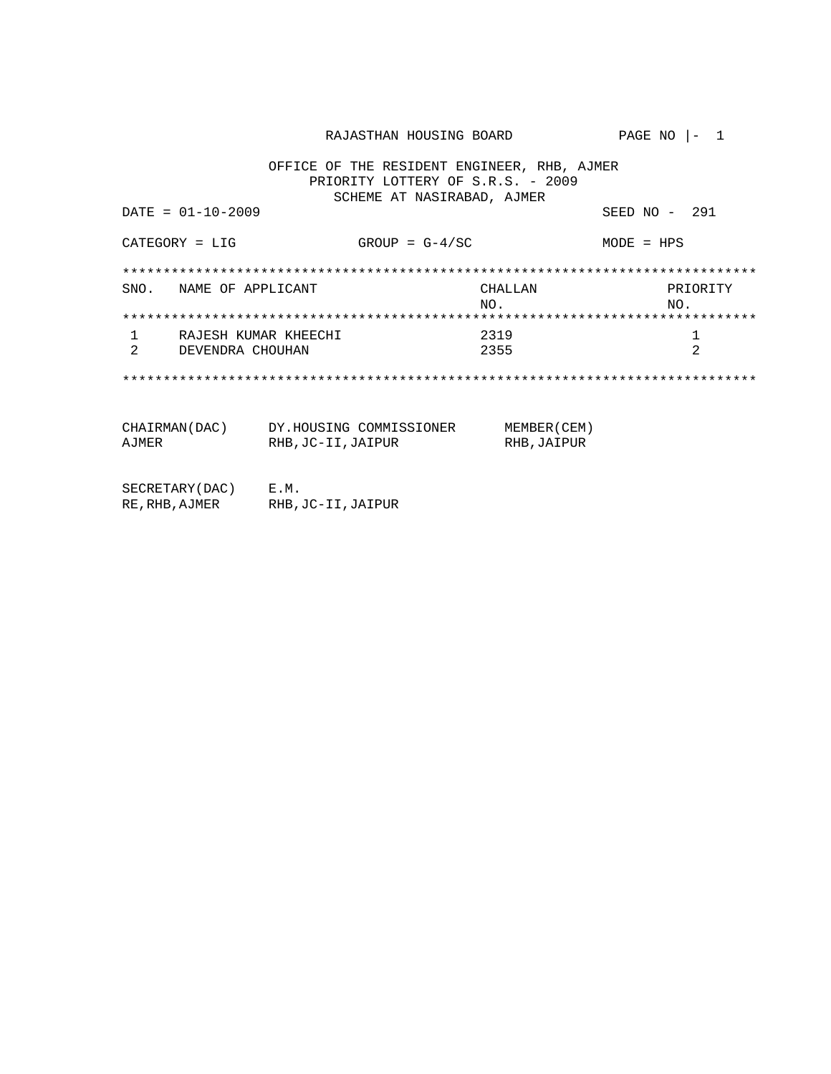RAJASTHAN HOUSING BOARD PAGE NO |- 1 OFFICE OF THE RESIDENT ENGINEER, RHB, AJMER PRIORITY LOTTERY OF S.R.S. - 2009 SCHEME AT NASIRABAD, AJMER  $DATA = 01 - 10 - 2009$ SEED NO - 291  $GROUP = G-4/SC$ CATEGORY = LIG  $MODE = HPS$ SNO. NAME OF APPLICANT **CHALLAN** PRIORITY  $NO.$ NO.  $\overline{1}$ RAJESH KUMAR KHEECHI 2319  $\mathbf{1}$  $\overline{2}$ DEVENDRA CHOUHAN 2355 2 CHAIRMAN(DAC) DY.HOUSING COMMISSIONER MEMBER(CEM)<br>AJMER RHB,JC-II,JAIPUR RHB,JAIPUR  $\begin{tabular}{ll} \multicolumn{2}{l}{{\small\texttt{SE}}}\texttt{CRETARY}(\texttt{DAC}) & \multicolumn{2}{l}{\small\texttt{E.M.}}\\ \multicolumn{2}{l}{\small\texttt{RE,RHB}}\texttt{,AJMER} & \multicolumn{2}{l}{\small\texttt{RHB}}\texttt{,JC-II}}\texttt{,JAIPUR} \end{tabular}$